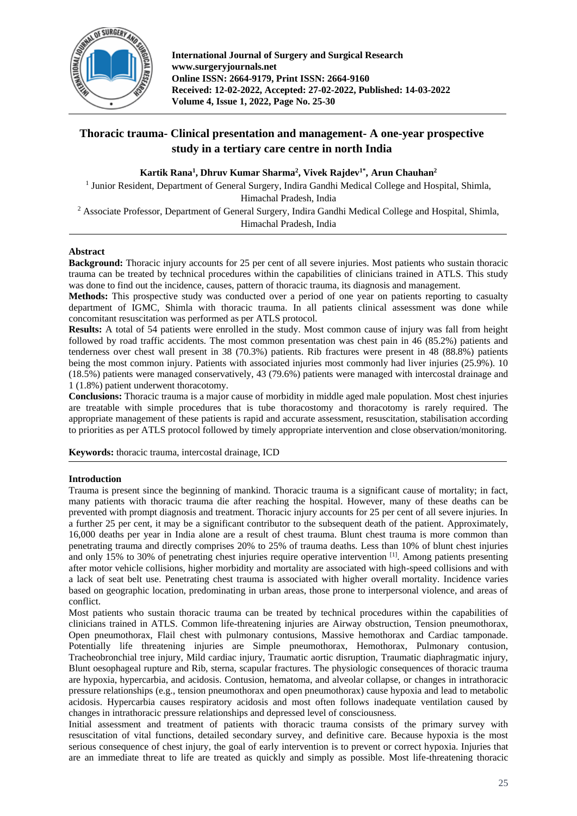

**International Journal of Surgery and Surgical Research www.surgeryjournals.net Online ISSN: 2664-9179, Print ISSN: 2664-9160 Received: 12-02-2022, Accepted: 27-02-2022, Published: 14-03-2022 Volume 4, Issue 1, 2022, Page No. 25-30**

# **Thoracic trauma- Clinical presentation and management- A one-year prospective study in a tertiary care centre in north India**

**Kartik Rana<sup>1</sup> , Dhruv Kumar Sharma<sup>2</sup> , Vivek Rajdev1\* , Arun Chauhan<sup>2</sup>**

<sup>1</sup> Junior Resident, Department of General Surgery, Indira Gandhi Medical College and Hospital, Shimla, Himachal Pradesh, India

<sup>2</sup> Associate Professor, Department of General Surgery, Indira Gandhi Medical College and Hospital, Shimla, Himachal Pradesh, India

# **Abstract**

**Background:** Thoracic injury accounts for 25 per cent of all severe injuries. Most patients who sustain thoracic trauma can be treated by technical procedures within the capabilities of clinicians trained in ATLS. This study was done to find out the incidence, causes, pattern of thoracic trauma, its diagnosis and management.

**Methods:** This prospective study was conducted over a period of one year on patients reporting to casualty department of IGMC, Shimla with thoracic trauma. In all patients clinical assessment was done while concomitant resuscitation was performed as per ATLS protocol.

**Results:** A total of 54 patients were enrolled in the study. Most common cause of injury was fall from height followed by road traffic accidents. The most common presentation was chest pain in 46 (85.2%) patients and tenderness over chest wall present in 38 (70.3%) patients. Rib fractures were present in 48 (88.8%) patients being the most common injury. Patients with associated injuries most commonly had liver injuries (25.9%). 10 (18.5%) patients were managed conservatively, 43 (79.6%) patients were managed with intercostal drainage and 1 (1.8%) patient underwent thoracotomy.

**Conclusions:** Thoracic trauma is a major cause of morbidity in middle aged male population. Most chest injuries are treatable with simple procedures that is tube thoracostomy and thoracotomy is rarely required. The appropriate management of these patients is rapid and accurate assessment, resuscitation, stabilisation according to priorities as per ATLS protocol followed by timely appropriate intervention and close observation/monitoring.

**Keywords:** thoracic trauma, intercostal drainage, ICD

# **Introduction**

Trauma is present since the beginning of mankind. Thoracic trauma is a significant cause of mortality; in fact, many patients with thoracic trauma die after reaching the hospital. However, many of these deaths can be prevented with prompt diagnosis and treatment. Thoracic injury accounts for 25 per cent of all severe injuries. In a further 25 per cent, it may be a significant contributor to the subsequent death of the patient. Approximately, 16,000 deaths per year in India alone are a result of chest trauma. Blunt chest trauma is more common than penetrating trauma and directly comprises 20% to 25% of trauma deaths. Less than 10% of blunt chest injuries and only 15% to 30% of penetrating chest injuries require operative intervention <sup>[1]</sup>. Among patients presenting after motor vehicle collisions, higher morbidity and mortality are associated with high-speed collisions and with a lack of seat belt use. Penetrating chest trauma is associated with higher overall mortality. Incidence varies based on geographic location, predominating in urban areas, those prone to interpersonal violence, and areas of conflict.

Most patients who sustain thoracic trauma can be treated by technical procedures within the capabilities of clinicians trained in ATLS. Common life-threatening injuries are Airway obstruction, Tension pneumothorax, Open pneumothorax, Flail chest with pulmonary contusions, Massive hemothorax and Cardiac tamponade. Potentially life threatening injuries are Simple pneumothorax, Hemothorax, Pulmonary contusion, Tracheobronchial tree injury, Mild cardiac injury, Traumatic aortic disruption, Traumatic diaphragmatic injury, Blunt oesophageal rupture and Rib, sterna, scapular fractures. The physiologic consequences of thoracic trauma are hypoxia, hypercarbia, and acidosis. Contusion, hematoma, and alveolar collapse, or changes in intrathoracic pressure relationships (e.g., tension pneumothorax and open pneumothorax) cause hypoxia and lead to metabolic acidosis. Hypercarbia causes respiratory acidosis and most often follows inadequate ventilation caused by changes in intrathoracic pressure relationships and depressed level of consciousness.

Initial assessment and treatment of patients with thoracic trauma consists of the primary survey with resuscitation of vital functions, detailed secondary survey, and definitive care. Because hypoxia is the most serious consequence of chest injury, the goal of early intervention is to prevent or correct hypoxia. Injuries that are an immediate threat to life are treated as quickly and simply as possible. Most life-threatening thoracic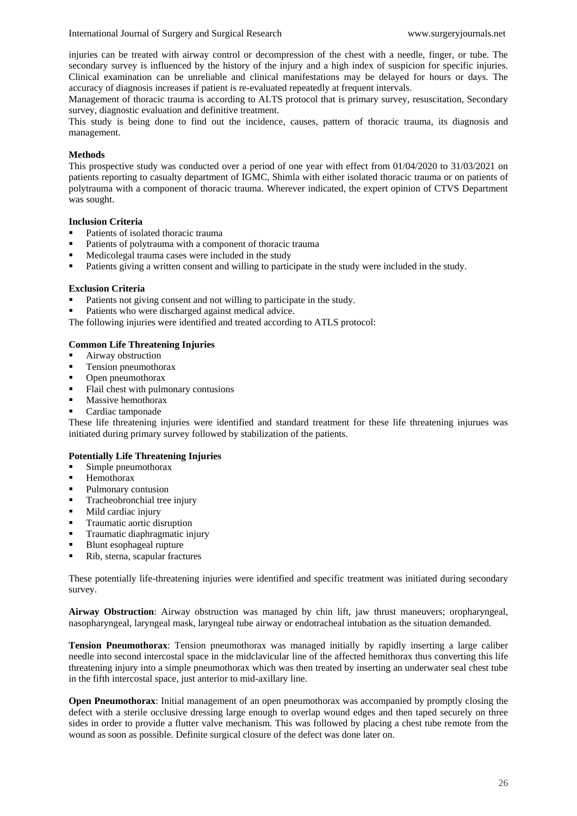International Journal of Surgery and Surgical Research www.surgeryjournals.net

injuries can be treated with airway control or decompression of the chest with a needle, finger, or tube. The secondary survey is influenced by the history of the injury and a high index of suspicion for specific injuries. Clinical examination can be unreliable and clinical manifestations may be delayed for hours or days. The accuracy of diagnosis increases if patient is re-evaluated repeatedly at frequent intervals.

Management of thoracic trauma is according to ALTS protocol that is primary survey, resuscitation, Secondary survey, diagnostic evaluation and definitive treatment.

This study is being done to find out the incidence, causes, pattern of thoracic trauma, its diagnosis and management.

# **Methods**

This prospective study was conducted over a period of one year with effect from 01/04/2020 to 31/03/2021 on patients reporting to casualty department of IGMC, Shimla with either isolated thoracic trauma or on patients of polytrauma with a component of thoracic trauma. Wherever indicated, the expert opinion of CTVS Department was sought.

# **Inclusion Criteria**

- Patients of isolated thoracic trauma
- Patients of polytrauma with a component of thoracic trauma
- Medicolegal trauma cases were included in the study
- Patients giving a written consent and willing to participate in the study were included in the study.

#### **Exclusion Criteria**

- Patients not giving consent and not willing to participate in the study.
- Patients who were discharged against medical advice.

The following injuries were identified and treated according to ATLS protocol:

# **Common Life Threatening Injuries**

- Airway obstruction
- Tension pneumothorax
- Open pneumothorax
- Flail chest with pulmonary contusions
- **■** Massive hemothorax
- Cardiac tamponade

These life threatening injuries were identified and standard treatment for these life threatening injurues was initiated during primary survey followed by stabilization of the patients.

# **Potentially Life Threatening Injuries**

- Simple pneumothorax
- **■** Hemothorax
- Pulmonary contusion
- Tracheobronchial tree injury
- Mild cardiac injury
- Traumatic aortic disruption
- Traumatic diaphragmatic injury
- Blunt esophageal rupture
- Rib, sterna, scapular fractures

These potentially life-threatening injuries were identified and specific treatment was initiated during secondary survey.

**Airway Obstruction**: Airway obstruction was managed by chin lift, jaw thrust maneuvers; oropharyngeal, nasopharyngeal, laryngeal mask, laryngeal tube airway or endotracheal intubation as the situation demanded.

**Tension Pneumothorax**: Tension pneumothorax was managed initially by rapidly inserting a large caliber needle into second intercostal space in the midclavicular line of the affected hemithorax thus converting this life threatening injury into a simple pneumothorax which was then treated by inserting an underwater seal chest tube in the fifth intercostal space, just anterior to mid-axillary line.

**Open Pneumothorax**: Initial management of an open pneumothorax was accompanied by promptly closing the defect with a sterile occlusive dressing large enough to overlap wound edges and then taped securely on three sides in order to provide a flutter valve mechanism. This was followed by placing a chest tube remote from the wound as soon as possible. Definite surgical closure of the defect was done later on.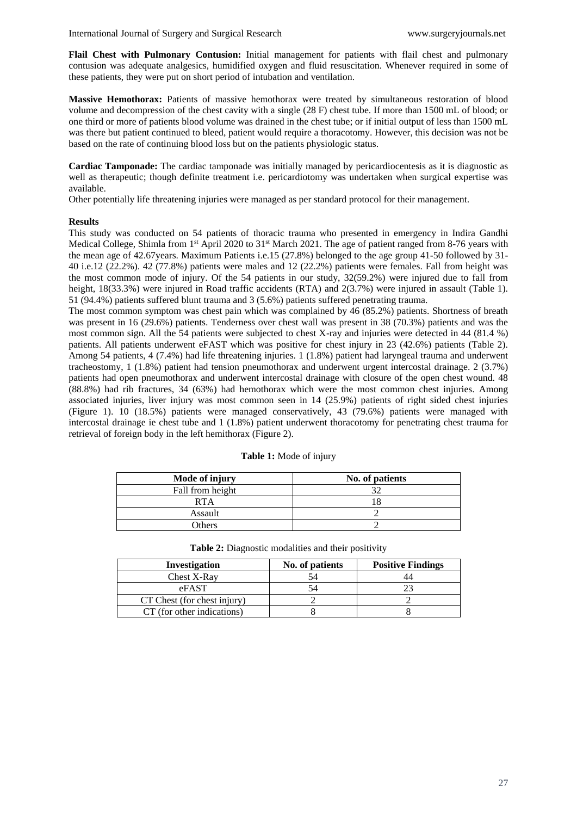**Flail Chest with Pulmonary Contusion:** Initial management for patients with flail chest and pulmonary contusion was adequate analgesics, humidified oxygen and fluid resuscitation. Whenever required in some of these patients, they were put on short period of intubation and ventilation.

**Massive Hemothorax:** Patients of massive hemothorax were treated by simultaneous restoration of blood volume and decompression of the chest cavity with a single (28 F) chest tube. If more than 1500 mL of blood; or one third or more of patients blood volume was drained in the chest tube; or if initial output of less than 1500 mL was there but patient continued to bleed, patient would require a thoracotomy. However, this decision was not be based on the rate of continuing blood loss but on the patients physiologic status.

**Cardiac Tamponade:** The cardiac tamponade was initially managed by pericardiocentesis as it is diagnostic as well as therapeutic; though definite treatment i.e. pericardiotomy was undertaken when surgical expertise was available.

Other potentially life threatening injuries were managed as per standard protocol for their management.

#### **Results**

This study was conducted on 54 patients of thoracic trauma who presented in emergency in Indira Gandhi Medical College, Shimla from 1<sup>st</sup> April 2020 to 31<sup>st</sup> March 2021. The age of patient ranged from 8-76 years with the mean age of 42.67years. Maximum Patients i.e.15 (27.8%) belonged to the age group 41-50 followed by 31- 40 i.e.12 (22.2%). 42 (77.8%) patients were males and 12 (22.2%) patients were females. Fall from height was the most common mode of injury. Of the 54 patients in our study, 32(59.2%) were injured due to fall from height,  $18(33.3%)$  were injured in Road traffic accidents (RTA) and  $2(3.7%)$  were injured in assault (Table 1). 51 (94.4%) patients suffered blunt trauma and 3 (5.6%) patients suffered penetrating trauma.

The most common symptom was chest pain which was complained by 46 (85.2%) patients. Shortness of breath was present in 16 (29.6%) patients. Tenderness over chest wall was present in 38 (70.3%) patients and was the most common sign. All the 54 patients were subjected to chest X-ray and injuries were detected in 44 (81.4 %) patients. All patients underwent eFAST which was positive for chest injury in 23 (42.6%) patients (Table 2). Among 54 patients, 4 (7.4%) had life threatening injuries. 1 (1.8%) patient had laryngeal trauma and underwent tracheostomy, 1 (1.8%) patient had tension pneumothorax and underwent urgent intercostal drainage. 2 (3.7%) patients had open pneumothorax and underwent intercostal drainage with closure of the open chest wound. 48 (88.8%) had rib fractures, 34 (63%) had hemothorax which were the most common chest injuries. Among associated injuries, liver injury was most common seen in 14 (25.9%) patients of right sided chest injuries (Figure 1). 10 (18.5%) patients were managed conservatively, 43 (79.6%) patients were managed with intercostal drainage ie chest tube and 1 (1.8%) patient underwent thoracotomy for penetrating chest trauma for retrieval of foreign body in the left hemithorax (Figure 2).

| Mode of injury   | No. of patients |
|------------------|-----------------|
| Fall from height |                 |
| <b>RTA</b>       |                 |
| Assault          |                 |
| <b>Others</b>    |                 |

**Table 1:** Mode of injury

| Investigation               | No. of patients | <b>Positive Findings</b> |
|-----------------------------|-----------------|--------------------------|
| Chest X-Ray                 |                 |                          |
| eFAST                       |                 |                          |
| CT Chest (for chest injury) |                 |                          |
| CT (for other indications)  |                 |                          |

| Table 2: Diagnostic modalities and their positivity |
|-----------------------------------------------------|
|-----------------------------------------------------|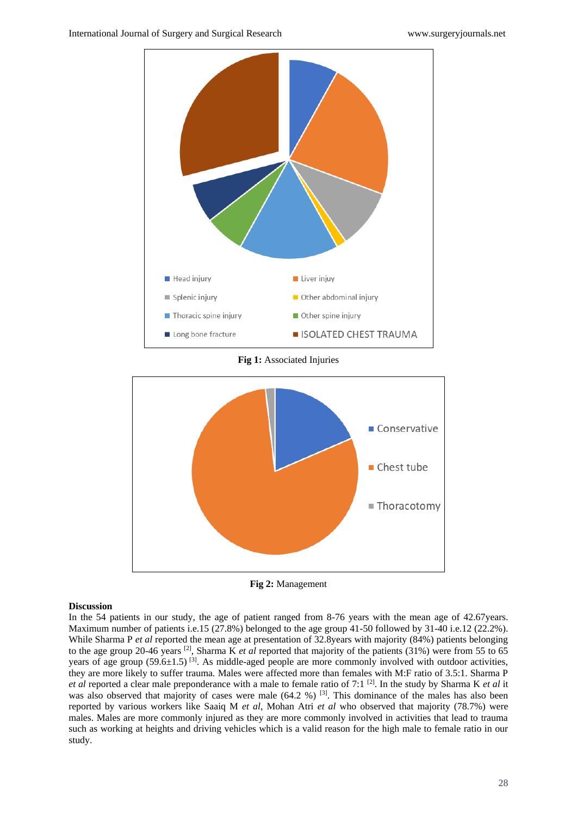

**Fig 1:** Associated Injuries



**Fig 2:** Management

#### **Discussion**

In the 54 patients in our study, the age of patient ranged from 8-76 years with the mean age of 42.67years. Maximum number of patients i.e.15 (27.8%) belonged to the age group 41-50 followed by 31-40 i.e.12 (22.2%). While Sharma P *et al* reported the mean age at presentation of 32.8years with majority (84%) patients belonging to the age group 20-46 years [2] , Sharma K *et al* reported that majority of the patients (31%) were from 55 to 65 years of age group  $(59.6\pm1.5)^{3}$ . As middle-aged people are more commonly involved with outdoor activities, they are more likely to suffer trauma. Males were affected more than females with M:F ratio of 3.5:1. Sharma P *et al* reported a clear male preponderance with a male to female ratio of 7:1 [2] . In the study by Sharma K *et al* it was also observed that majority of cases were male  $(64.2 \%)$  [3]. This dominance of the males has also been reported by various workers like Saaiq M *et al*, Mohan Atri *et al* who observed that majority (78.7%) were males. Males are more commonly injured as they are more commonly involved in activities that lead to trauma such as working at heights and driving vehicles which is a valid reason for the high male to female ratio in our study.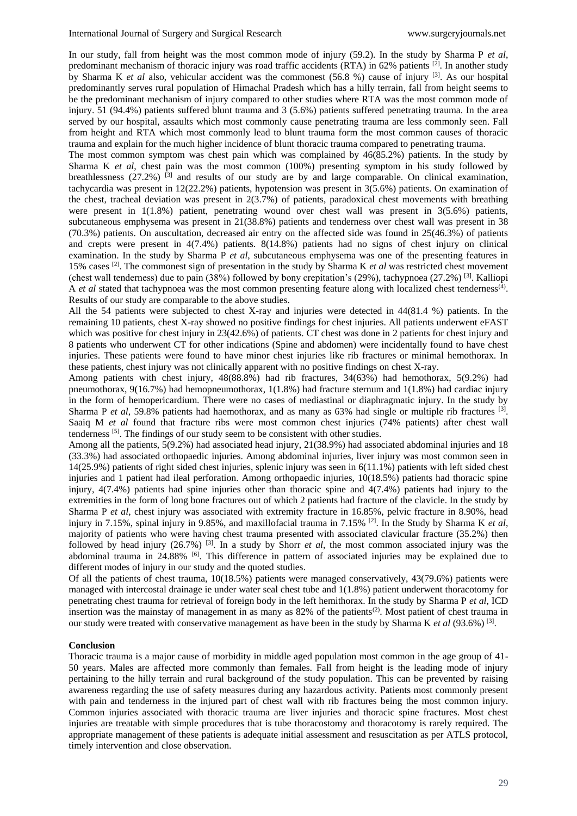In our study, fall from height was the most common mode of injury (59.2). In the study by Sharma P *et al*, predominant mechanism of thoracic injury was road traffic accidents (RTA) in 62% patients [2]. In another study by Sharma K *et al* also, vehicular accident was the commonest (56.8 %) cause of injury <sup>[3]</sup>. As our hospital predominantly serves rural population of Himachal Pradesh which has a hilly terrain, fall from height seems to be the predominant mechanism of injury compared to other studies where RTA was the most common mode of injury. 51 (94.4%) patients suffered blunt trauma and 3 (5.6%) patients suffered penetrating trauma. In the area served by our hospital, assaults which most commonly cause penetrating trauma are less commonly seen. Fall from height and RTA which most commonly lead to blunt trauma form the most common causes of thoracic trauma and explain for the much higher incidence of blunt thoracic trauma compared to penetrating trauma.

The most common symptom was chest pain which was complained by 46(85.2%) patients. In the study by Sharma K *et al*, chest pain was the most common (100%) presenting symptom in his study followed by breathlessness (27.2%) <sup>[3]</sup> and results of our study are by and large comparable. On clinical examination, tachycardia was present in 12(22.2%) patients, hypotension was present in 3(5.6%) patients. On examination of the chest, tracheal deviation was present in 2(3.7%) of patients, paradoxical chest movements with breathing were present in 1(1.8%) patient, penetrating wound over chest wall was present in 3(5.6%) patients, subcutaneous emphysema was present in 21(38.8%) patients and tenderness over chest wall was present in 38 (70.3%) patients. On auscultation, decreased air entry on the affected side was found in 25(46.3%) of patients and crepts were present in 4(7.4%) patients. 8(14.8%) patients had no signs of chest injury on clinical examination. In the study by Sharma P *et al*, subcutaneous emphysema was one of the presenting features in 15% cases [2] . The commonest sign of presentation in the study by Sharma K *et al* was restricted chest movement (chest wall tenderness) due to pain (38%) followed by bony crepitation's (29%), tachypnoea (27.2%) <sup>[3]</sup>. Kalliopi A *et al* stated that tachypnoea was the most common presenting feature along with localized chest tenderness<sup>(4)</sup>. Results of our study are comparable to the above studies.

All the 54 patients were subjected to chest X-ray and injuries were detected in 44(81.4 %) patients. In the remaining 10 patients, chest X-ray showed no positive findings for chest injuries. All patients underwent eFAST which was positive for chest injury in 23(42.6%) of patients. CT chest was done in 2 patients for chest injury and 8 patients who underwent CT for other indications (Spine and abdomen) were incidentally found to have chest injuries. These patients were found to have minor chest injuries like rib fractures or minimal hemothorax. In these patients, chest injury was not clinically apparent with no positive findings on chest X-ray.

Among patients with chest injury, 48(88.8%) had rib fractures, 34(63%) had hemothorax, 5(9.2%) had pneumothorax, 9(16.7%) had hemopneumothorax, 1(1.8%) had fracture sternum and 1(1.8%) had cardiac injury in the form of hemopericardium. There were no cases of mediastinal or diaphragmatic injury. In the study by Sharma P *et al*, 59.8% patients had haemothorax, and as many as 63% had single or multiple rib fractures <sup>[3]</sup>. Saaiq M *et al* found that fracture ribs were most common chest injuries (74% patients) after chest wall tenderness<sup>[5]</sup>. The findings of our study seem to be consistent with other studies.

Among all the patients, 5(9.2%) had associated head injury, 21(38.9%) had associated abdominal injuries and 18 (33.3%) had associated orthopaedic injuries. Among abdominal injuries, liver injury was most common seen in 14(25.9%) patients of right sided chest injuries, splenic injury was seen in 6(11.1%) patients with left sided chest injuries and 1 patient had ileal perforation. Among orthopaedic injuries, 10(18.5%) patients had thoracic spine injury, 4(7.4%) patients had spine injuries other than thoracic spine and 4(7.4%) patients had injury to the extremities in the form of long bone fractures out of which 2 patients had fracture of the clavicle. In the study by Sharma P *et al*, chest injury was associated with extremity fracture in 16.85%, pelvic fracture in 8.90%, head injury in 7.15%, spinal injury in 9.85%, and maxillofacial trauma in 7.15% [2] . In the Study by Sharma K *et al*, majority of patients who were having chest trauma presented with associated clavicular fracture (35.2%) then followed by head injury (26.7%) [3] . In a study by Shorr *et al*, the most common associated injury was the abdominal trauma in 24.88% <sup>[6]</sup>. This difference in pattern of associated injuries may be explained due to different modes of injury in our study and the quoted studies.

Of all the patients of chest trauma, 10(18.5%) patients were managed conservatively, 43(79.6%) patients were managed with intercostal drainage ie under water seal chest tube and 1(1.8%) patient underwent thoracotomy for penetrating chest trauma for retrieval of foreign body in the left hemithorax. In the study by Sharma P *et al*, ICD insertion was the mainstay of management in as many as  $82\%$  of the patients<sup>(2)</sup>. Most patient of chest trauma in our study were treated with conservative management as have been in the study by Sharma K et al (93.6%) <sup>[3]</sup>.

#### **Conclusion**

Thoracic trauma is a major cause of morbidity in middle aged population most common in the age group of 41- 50 years. Males are affected more commonly than females. Fall from height is the leading mode of injury pertaining to the hilly terrain and rural background of the study population. This can be prevented by raising awareness regarding the use of safety measures during any hazardous activity. Patients most commonly present with pain and tenderness in the injured part of chest wall with rib fractures being the most common injury. Common injuries associated with thoracic trauma are liver injuries and thoracic spine fractures. Most chest injuries are treatable with simple procedures that is tube thoracostomy and thoracotomy is rarely required. The appropriate management of these patients is adequate initial assessment and resuscitation as per ATLS protocol, timely intervention and close observation.